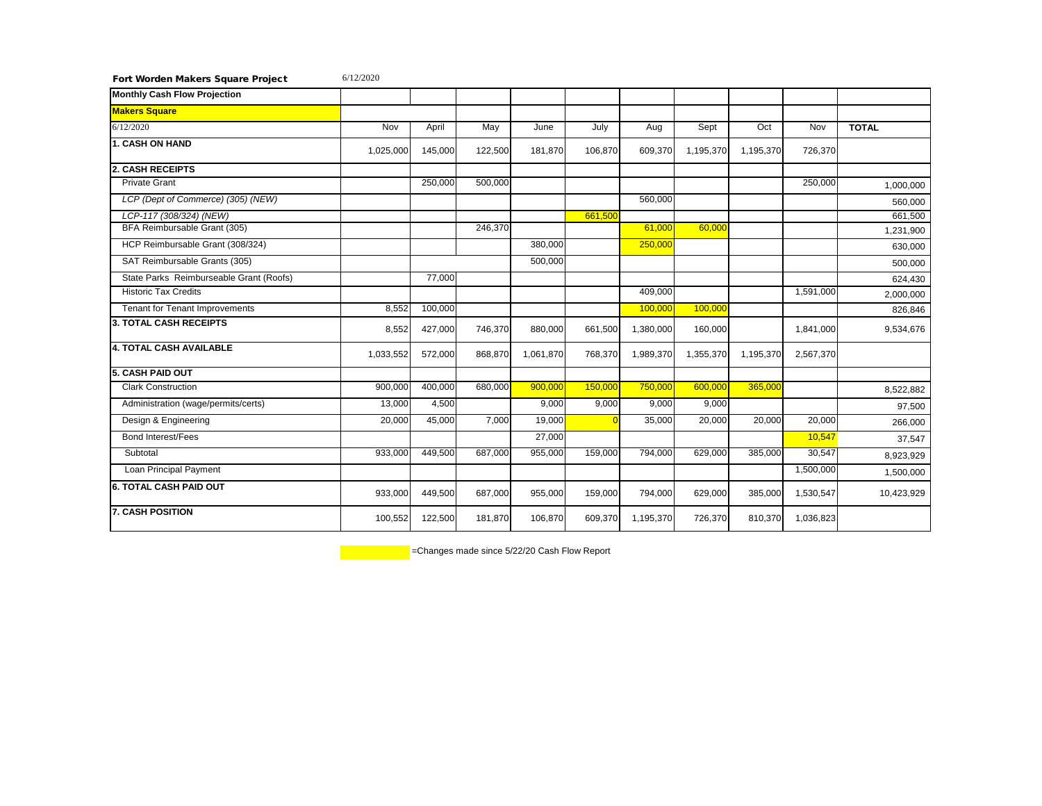| Fort Worden Makers Square Project       | 6/12/2020 |         |         |           |         |           |           |           |           |              |
|-----------------------------------------|-----------|---------|---------|-----------|---------|-----------|-----------|-----------|-----------|--------------|
| <b>Monthly Cash Flow Projection</b>     |           |         |         |           |         |           |           |           |           |              |
| <b>Makers Square</b>                    |           |         |         |           |         |           |           |           |           |              |
| 6/12/2020                               | Nov       | April   | May     | June      | July    | Aug       | Sept      | Oct       | Nov       | <b>TOTAL</b> |
| <b>1. CASH ON HAND</b>                  | 1,025,000 | 145,000 | 122,500 | 181,870   | 106,870 | 609,370   | 1,195,370 | 1,195,370 | 726,370   |              |
| <b>2. CASH RECEIPTS</b>                 |           |         |         |           |         |           |           |           |           |              |
| <b>Private Grant</b>                    |           | 250,000 | 500,000 |           |         |           |           |           | 250,000   | 1,000,000    |
| LCP (Dept of Commerce) (305) (NEW)      |           |         |         |           |         | 560,000   |           |           |           | 560,000      |
| LCP-117 (308/324) (NEW)                 |           |         |         |           | 661,500 |           |           |           |           | 661.500      |
| BFA Reimbursable Grant (305)            |           |         | 246,370 |           |         | 61,000    | 60,000    |           |           | 1,231,900    |
| HCP Reimbursable Grant (308/324)        |           |         |         | 380,000   |         | 250,000   |           |           |           | 630,000      |
| SAT Reimbursable Grants (305)           |           |         |         | 500,000   |         |           |           |           |           | 500,000      |
| State Parks Reimburseable Grant (Roofs) |           | 77,000  |         |           |         |           |           |           |           | 624,430      |
| <b>Historic Tax Credits</b>             |           |         |         |           |         | 409,000   |           |           | 1,591,000 | 2,000,000    |
| <b>Tenant for Tenant Improvements</b>   | 8,552     | 100,000 |         |           |         | 100,000   | 100,000   |           |           | 826,846      |
| 3. TOTAL CASH RECEIPTS                  | 8,552     | 427,000 | 746,370 | 880,000   | 661,500 | 1,380,000 | 160,000   |           | 1,841,000 | 9,534,676    |
| <b>4. TOTAL CASH AVAILABLE</b>          | 1,033,552 | 572,000 | 868,870 | 1,061,870 | 768,370 | 1,989,370 | 1,355,370 | 1,195,370 | 2,567,370 |              |
| 5. CASH PAID OUT                        |           |         |         |           |         |           |           |           |           |              |
| Clark Construction                      | 900.000   | 400.000 | 680.000 | 900.000   | 150.000 | 750.000   | 600.000   | 365.000   |           | 8,522,882    |
| Administration (wage/permits/certs)     | 13,000    | 4,500   |         | 9,000     | 9,000   | 9,000     | 9,000     |           |           | 97,500       |
| Design & Engineering                    | 20,000    | 45,000  | 7,000   | 19.000    |         | 35,000    | 20,000    | 20,000    | 20.000    | 266,000      |
| <b>Bond Interest/Fees</b>               |           |         |         | 27,000    |         |           |           |           | 10,547    | 37,547       |
| Subtotal                                | 933,000   | 449,500 | 687.000 | 955,000   | 159,000 | 794,000   | 629,000   | 385.000   | 30,547    | 8,923,929    |
| Loan Principal Payment                  |           |         |         |           |         |           |           |           | 1,500,000 | 1,500,000    |
| <b>6. TOTAL CASH PAID OUT</b>           | 933,000   | 449,500 | 687,000 | 955,000   | 159,000 | 794,000   | 629,000   | 385,000   | 1,530,547 | 10,423,929   |
| <b>7. CASH POSITION</b>                 | 100,552   | 122,500 | 181,870 | 106,870   | 609,370 | 1,195,370 | 726,370   | 810,370   | 1,036,823 |              |

-Changes made since 5/22/20 Cash Flow Report